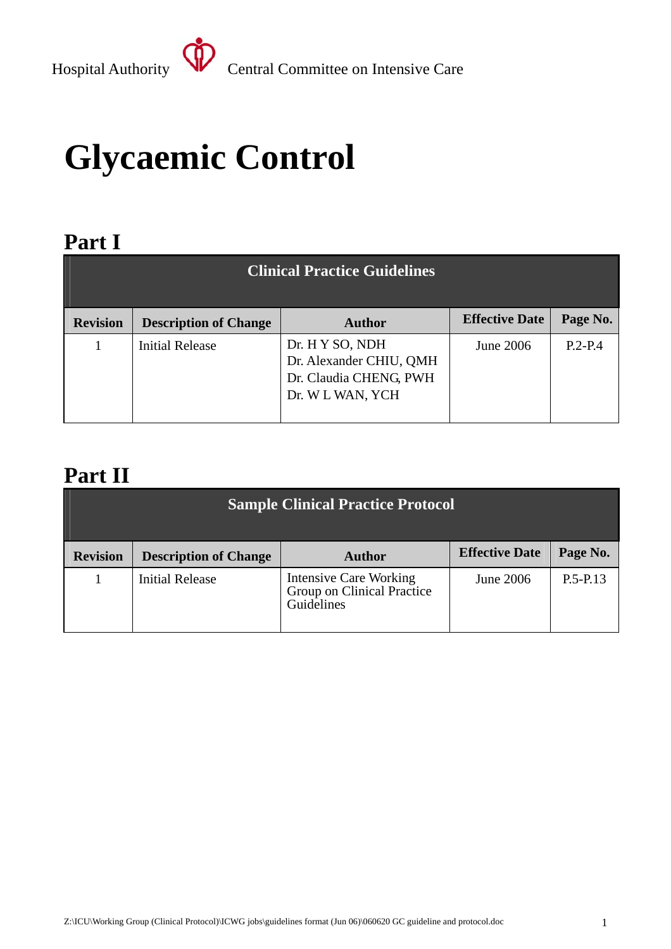# **Glycaemic Control**

### **Part I**

| <b>Clinical Practice Guidelines</b> |                              |                                                                                          |                       |           |
|-------------------------------------|------------------------------|------------------------------------------------------------------------------------------|-----------------------|-----------|
| <b>Revision</b>                     | <b>Description of Change</b> | <b>Author</b>                                                                            | <b>Effective Date</b> | Page No.  |
|                                     | <b>Initial Release</b>       | Dr. H Y SO, NDH<br>Dr. Alexander CHIU, QMH<br>Dr. Claudia CHENG, PWH<br>Dr. W L WAN, YCH | June 2006             | $P.2-P.4$ |

### **Part II**

| <b>Sample Clinical Practice Protocol</b> |                              |                                                                           |                       |              |
|------------------------------------------|------------------------------|---------------------------------------------------------------------------|-----------------------|--------------|
| <b>Revision</b>                          | <b>Description of Change</b> | <b>Author</b>                                                             | <b>Effective Date</b> | Page No.     |
|                                          | <b>Initial Release</b>       | <b>Intensive Care Working</b><br>Group on Clinical Practice<br>Guidelines | June 2006             | $P.5 - P.13$ |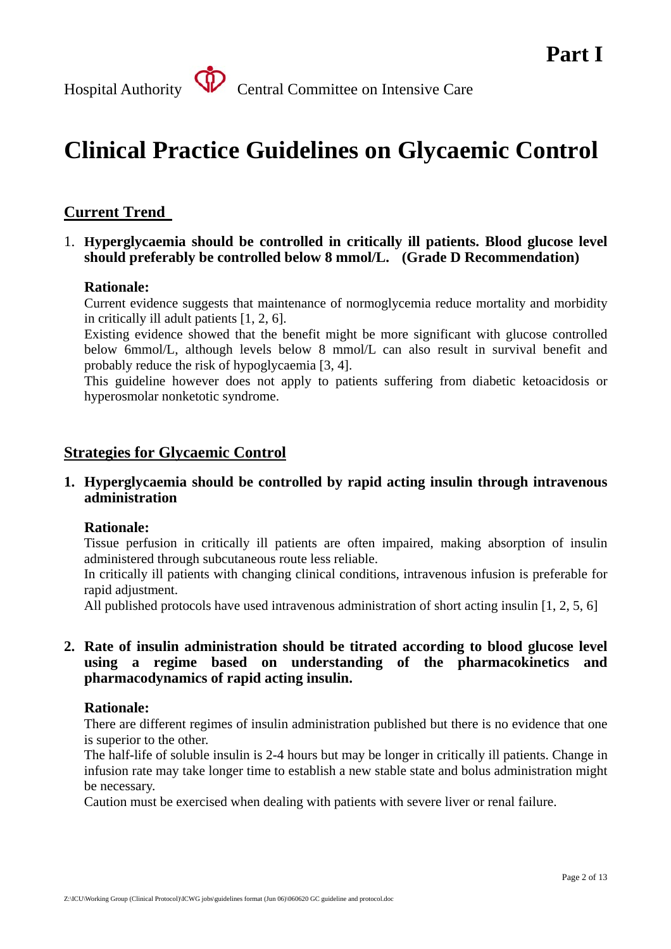## **Clinical Practice Guidelines on Glycaemic Control**

#### **Current Trend**

 1. **Hyperglycaemia should be controlled in critically ill patients. Blood glucose level should preferably be controlled below 8 mmol/L. (Grade D Recommendation)** 

#### **Rationale:**

Current evidence suggests that maintenance of normoglycemia reduce mortality and morbidity in critically ill adult patients [1, 2, 6].

Existing evidence showed that the benefit might be more significant with glucose controlled below 6mmol/L, although levels below 8 mmol/L can also result in survival benefit and probably reduce the risk of hypoglycaemia [3, 4].

This guideline however does not apply to patients suffering from diabetic ketoacidosis or hyperosmolar nonketotic syndrome.

#### **Strategies for Glycaemic Control**

**1. Hyperglycaemia should be controlled by rapid acting insulin through intravenous administration** 

#### **Rationale:**

Tissue perfusion in critically ill patients are often impaired, making absorption of insulin administered through subcutaneous route less reliable.

In critically ill patients with changing clinical conditions, intravenous infusion is preferable for rapid adjustment.

All published protocols have used intravenous administration of short acting insulin [1, 2, 5, 6]

#### **2. Rate of insulin administration should be titrated according to blood glucose level using a regime based on understanding of the pharmacokinetics and pharmacodynamics of rapid acting insulin.**

#### **Rationale:**

There are different regimes of insulin administration published but there is no evidence that one is superior to the other.

The half-life of soluble insulin is 2-4 hours but may be longer in critically ill patients. Change in infusion rate may take longer time to establish a new stable state and bolus administration might be necessary.

Caution must be exercised when dealing with patients with severe liver or renal failure.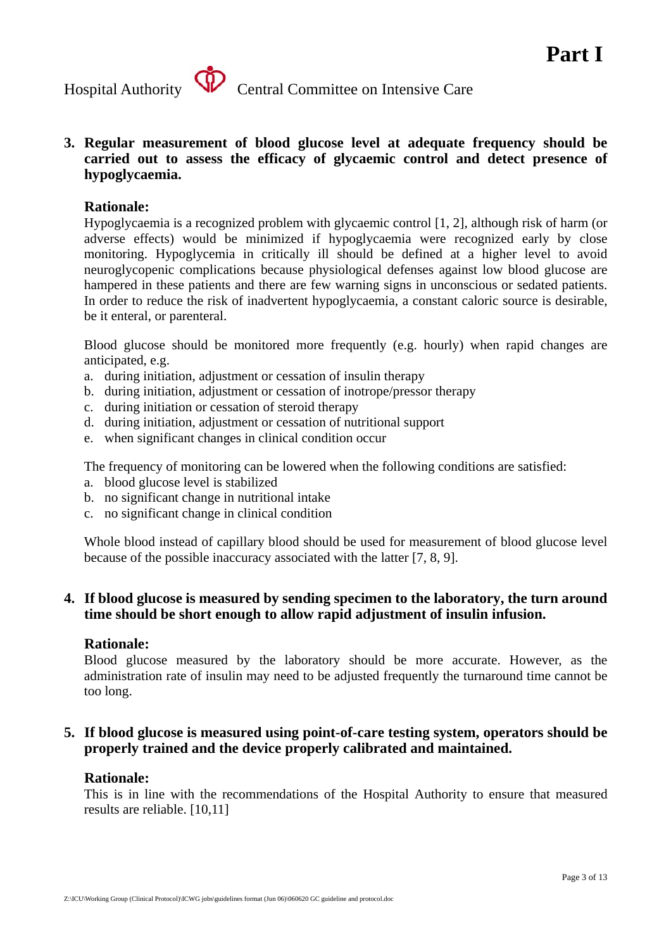

**3. Regular measurement of blood glucose level at adequate frequency should be carried out to assess the efficacy of glycaemic control and detect presence of hypoglycaemia.** 

#### **Rationale:**

Hypoglycaemia is a recognized problem with glycaemic control [1, 2], although risk of harm (or adverse effects) would be minimized if hypoglycaemia were recognized early by close monitoring. Hypoglycemia in critically ill should be defined at a higher level to avoid neuroglycopenic complications because physiological defenses against low blood glucose are hampered in these patients and there are few warning signs in unconscious or sedated patients. In order to reduce the risk of inadvertent hypoglycaemia, a constant caloric source is desirable, be it enteral, or parenteral.

Blood glucose should be monitored more frequently (e.g. hourly) when rapid changes are anticipated, e.g.

- a. during initiation, adjustment or cessation of insulin therapy
- b. during initiation, adjustment or cessation of inotrope/pressor therapy
- c. during initiation or cessation of steroid therapy
- d. during initiation, adjustment or cessation of nutritional support
- e. when significant changes in clinical condition occur

The frequency of monitoring can be lowered when the following conditions are satisfied:

- a. blood glucose level is stabilized
- b. no significant change in nutritional intake
- c. no significant change in clinical condition

Whole blood instead of capillary blood should be used for measurement of blood glucose level because of the possible inaccuracy associated with the latter [7, 8, 9].

#### **4. If blood glucose is measured by sending specimen to the laboratory, the turn around time should be short enough to allow rapid adjustment of insulin infusion.**

#### **Rationale:**

Blood glucose measured by the laboratory should be more accurate. However, as the administration rate of insulin may need to be adjusted frequently the turnaround time cannot be too long.

#### **5. If blood glucose is measured using point-of-care testing system, operators should be properly trained and the device properly calibrated and maintained.**

#### **Rationale:**

This is in line with the recommendations of the Hospital Authority to ensure that measured results are reliable. [10,11]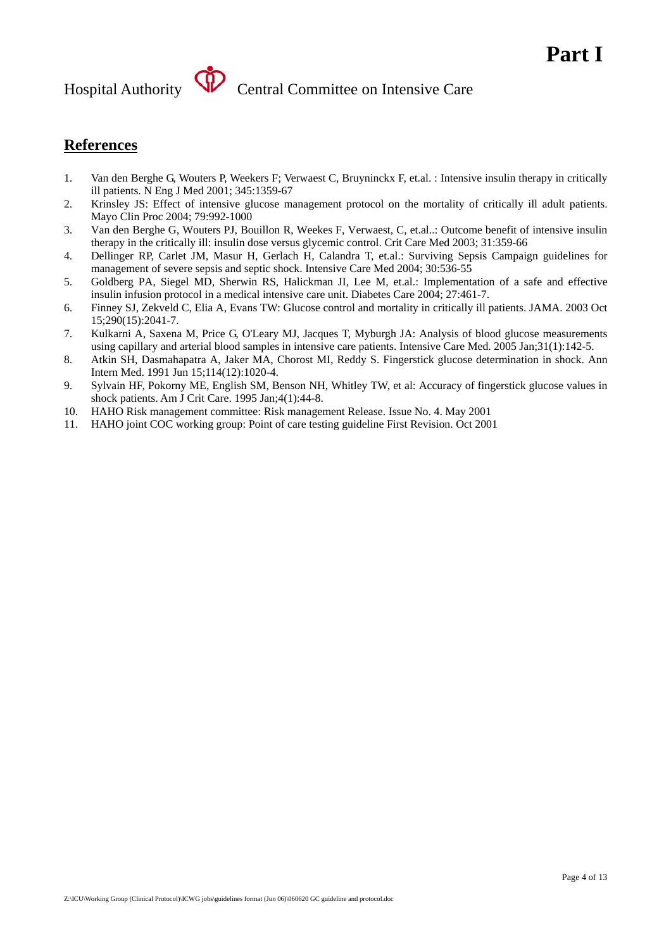# Hospital Authority **SP** Central Committee on Intensive Care

### **References**

- 1. Van den Berghe G, Wouters P, Weekers F; Verwaest C, Bruyninckx F, et.al. : Intensive insulin therapy in critically ill patients. N Eng J Med 2001; 345:1359-67
- 2. Krinsley JS: Effect of intensive glucose management protocol on the mortality of critically ill adult patients. Mayo Clin Proc 2004; 79:992-1000
- 3. Van den Berghe G, Wouters PJ, Bouillon R, Weekes F, Verwaest, C, et.al..: Outcome benefit of intensive insulin therapy in the critically ill: insulin dose versus glycemic control. Crit Care Med 2003; 31:359-66
- 4. Dellinger RP, Carlet JM, Masur H, Gerlach H, Calandra T, et.al.: Surviving Sepsis Campaign guidelines for management of severe sepsis and septic shock. Intensive Care Med 2004; 30:536-55
- 5. Goldberg PA, Siegel MD, Sherwin RS, Halickman JI, Lee M, et.al.: Implementation of a safe and effective insulin infusion protocol in a medical intensive care unit. Diabetes Care 2004; 27:461-7.
- 6. Finney SJ, Zekveld C, Elia A, Evans TW: Glucose control and mortality in critically ill patients. JAMA. 2003 Oct 15;290(15):2041-7.
- 7. Kulkarni A, Saxena M, Price G, O'Leary MJ, Jacques T, Myburgh JA: Analysis of blood glucose measurements using capillary and arterial blood samples in intensive care patients. Intensive Care Med. 2005 Jan;31(1):142-5.
- 8. Atkin SH, Dasmahapatra A, Jaker MA, Chorost MI, Reddy S. Fingerstick glucose determination in shock. Ann Intern Med. 1991 Jun 15;114(12):1020-4.
- 9. Sylvain HF, Pokorny ME, English SM, Benson NH, Whitley TW, et al: Accuracy of fingerstick glucose values in shock patients. Am J Crit Care. 1995 Jan;4(1):44-8.
- 10. HAHO Risk management committee: Risk management Release. Issue No. 4. May 2001
- 11. HAHO joint COC working group: Point of care testing guideline First Revision. Oct 2001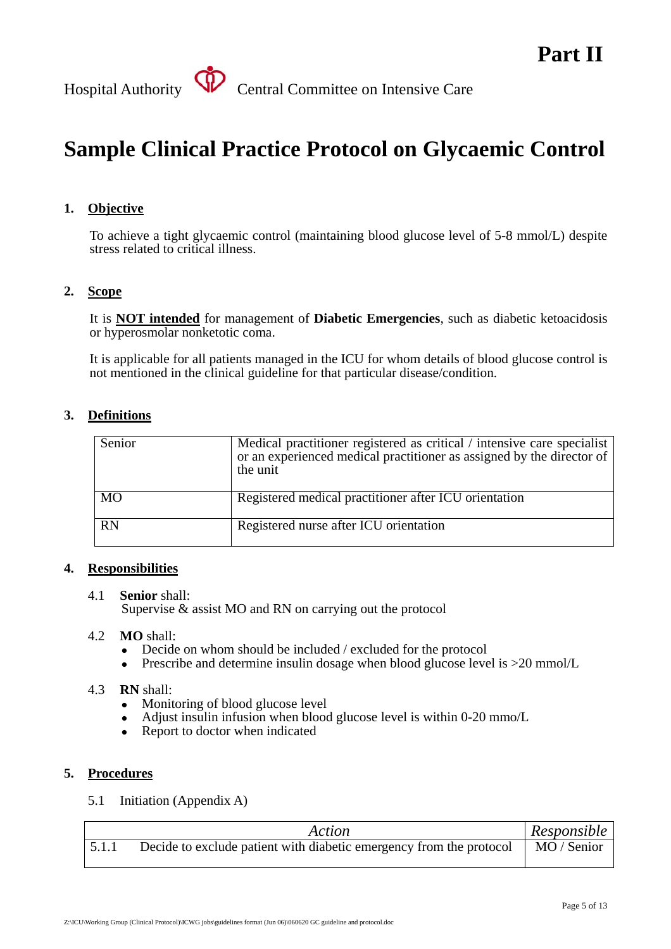## **Sample Clinical Practice Protocol on Glycaemic Control**

#### **1. Objective**

To achieve a tight glycaemic control (maintaining blood glucose level of 5-8 mmol/L) despite stress related to critical illness.

#### **2. Scope**

It is **NOT intended** for management of **Diabetic Emergencies**, such as diabetic ketoacidosis or hyperosmolar nonketotic coma.

It is applicable for all patients managed in the ICU for whom details of blood glucose control is not mentioned in the clinical guideline for that particular disease/condition.

#### **3. Definitions**

| Senior    | Medical practitioner registered as critical / intensive care specialist<br>or an experienced medical practitioner as assigned by the director of<br>the unit |
|-----------|--------------------------------------------------------------------------------------------------------------------------------------------------------------|
| <b>MO</b> | Registered medical practitioner after ICU orientation                                                                                                        |
| <b>RN</b> | Registered nurse after ICU orientation                                                                                                                       |

#### **4. Responsibilities**

#### 4.1 **Senior** shall:

Supervise & assist MO and RN on carrying out the protocol

#### 4.2 **MO** shall:

- $\bullet$  Decide on whom should be included / excluded for the protocol
- Prescribe and determine insulin dosage when blood glucose level is  $>20$  mmol/L

#### 4.3 **RN** shall:

- Monitoring of blood glucose level
- Adjust insulin infusion when blood glucose level is within 0-20 mmo/L
- Report to doctor when indicated

#### **5. Procedures**

5.1 Initiation (Appendix A)

| Action                                                              | Responsible |
|---------------------------------------------------------------------|-------------|
| Decide to exclude patient with diabetic emergency from the protocol | MO / Senior |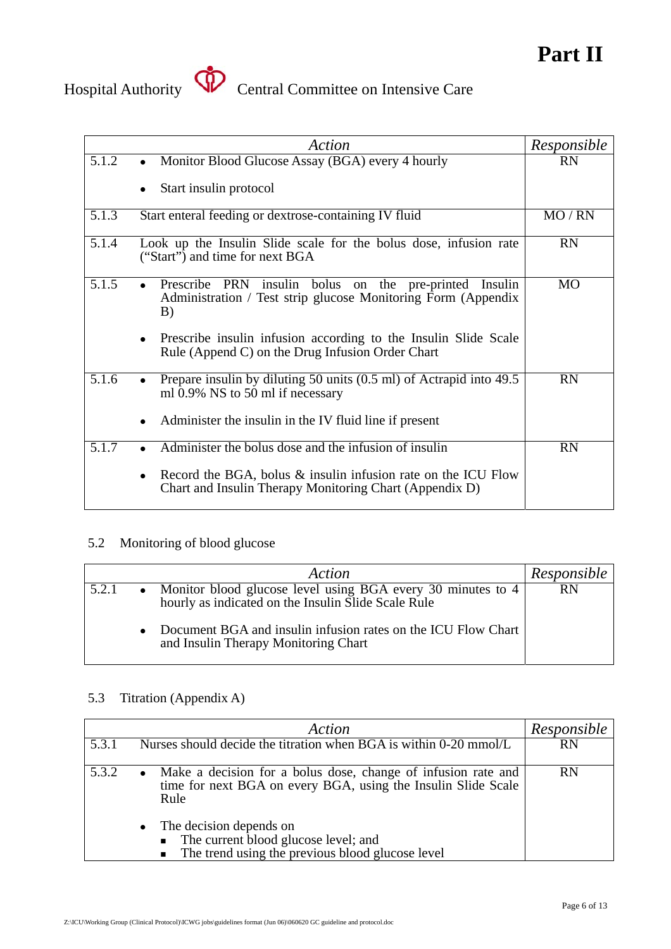

# Hospital Authority **Central Committee on Intensive Care**

|       | Action                                                                                                                                                                                                                                                                  | Responsible |
|-------|-------------------------------------------------------------------------------------------------------------------------------------------------------------------------------------------------------------------------------------------------------------------------|-------------|
| 5.1.2 | Monitor Blood Glucose Assay (BGA) every 4 hourly<br>$\bullet$                                                                                                                                                                                                           | <b>RN</b>   |
|       | Start insulin protocol                                                                                                                                                                                                                                                  |             |
| 5.1.3 | Start enteral feeding or dextrose-containing IV fluid                                                                                                                                                                                                                   | MO / RN     |
| 5.1.4 | Look up the Insulin Slide scale for the bolus dose, infusion rate<br>("Start") and time for next BGA                                                                                                                                                                    | <b>RN</b>   |
| 5.1.5 | Prescribe PRN insulin bolus<br>on the pre-printed<br>Insulin<br>Administration / Test strip glucose Monitoring Form (Appendix<br>B)<br>Prescribe insulin infusion according to the Insulin Slide Scale<br>$\bullet$<br>Rule (Append C) on the Drug Infusion Order Chart | <b>MO</b>   |
| 5.1.6 | Prepare insulin by diluting 50 units (0.5 ml) of Actrapid into 49.5<br>ml 0.9% NS to 50 ml if necessary<br>Administer the insulin in the IV fluid line if present                                                                                                       | <b>RN</b>   |
| 5.1.7 | Administer the bolus dose and the infusion of insulin<br>Record the BGA, bolus & insulin infusion rate on the ICU Flow<br>$\bullet$<br>Chart and Insulin Therapy Monitoring Chart (Appendix D)                                                                          | <b>RN</b>   |

#### 5.2 Monitoring of blood glucose

|       | Action                                                                                                             | Responsible |
|-------|--------------------------------------------------------------------------------------------------------------------|-------------|
| 5.2.1 | Monitor blood glucose level using BGA every 30 minutes to 4<br>hourly as indicated on the Insulin Slide Scale Rule | <b>RN</b>   |
|       | Document BGA and insulin infusion rates on the ICU Flow Chart<br>and Insulin Therapy Monitoring Chart              |             |

#### 5.3 Titration (Appendix A)

|       | Action                                                                                                                                   | Responsible |
|-------|------------------------------------------------------------------------------------------------------------------------------------------|-------------|
| 5.3.1 | Nurses should decide the titration when BGA is within 0-20 mmol/L                                                                        | <b>RN</b>   |
| 5.3.2 | • Make a decision for a bolus dose, change of infusion rate and<br>time for next BGA on every BGA, using the Insulin Slide Scale<br>Rule | <b>RN</b>   |
|       | The decision depends on<br>$\bullet$                                                                                                     |             |
|       | • The current blood glucose level; and                                                                                                   |             |
|       | The trend using the previous blood glucose level<br>$\blacksquare$                                                                       |             |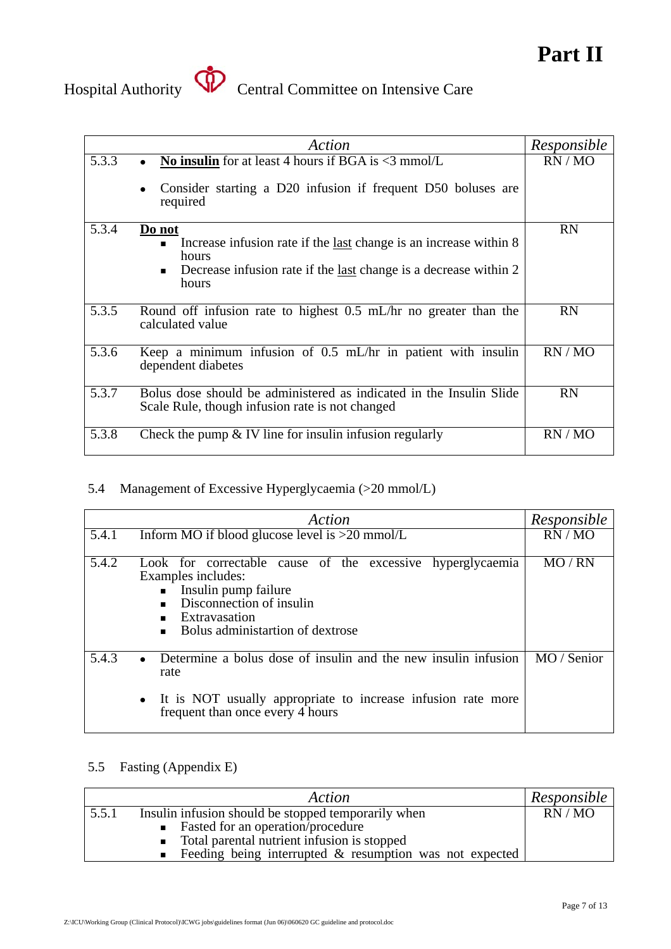

# Hospital Authority **Central Committee on Intensive Care**

|       | Action                                                                                                                 | Responsible |
|-------|------------------------------------------------------------------------------------------------------------------------|-------------|
| 5.3.3 | No insulin for at least 4 hours if BGA is $\leq$ 3 mmol/L                                                              | RN/MO       |
|       | Consider starting a D20 infusion if frequent D50 boluses are<br>$\bullet$<br>required                                  |             |
| 5.3.4 | Do not<br>• Increase infusion rate if the <u>last</u> change is an increase within $8$                                 | <b>RN</b>   |
|       | hours                                                                                                                  |             |
|       | Decrease infusion rate if the <u>last</u> change is a decrease within 2<br>$\blacksquare$<br>hours                     |             |
| 5.3.5 | Round off infusion rate to highest 0.5 mL/hr no greater than the<br>calculated value                                   | <b>RN</b>   |
| 5.3.6 | Keep a minimum infusion of $\overline{0.5}$ mL/hr in patient with insulin<br>dependent diabetes                        | RN/MO       |
| 5.3.7 | Bolus dose should be administered as indicated in the Insulin Slide<br>Scale Rule, though infusion rate is not changed | <b>RN</b>   |
| 5.3.8 | Check the pump $&$ IV line for insulin infusion regularly                                                              | RN/MO       |

### 5.4 Management of Excessive Hyperglycaemia (>20 mmol/L)

| Action                                                                                             | Responsible           |
|----------------------------------------------------------------------------------------------------|-----------------------|
| Inform MO if blood glucose level is $>20$ mmol/L<br>5.4.1                                          | RN/MO                 |
|                                                                                                    |                       |
| 5.4.2<br>Look for correctable cause of the excessive hyperglycaemia                                | R <sub>N</sub><br>MO. |
| Examples includes:                                                                                 |                       |
| • Insulin pump failure                                                                             |                       |
| Disconnection of insulin<br>$\blacksquare$                                                         |                       |
| Extravasation<br>$\blacksquare$                                                                    |                       |
| Bolus administartion of dextrose<br>$\blacksquare$                                                 |                       |
|                                                                                                    |                       |
| Determine a bolus dose of insuling and the new insuling infusion<br>5.4.3<br>$\bullet$<br>rate     | MO / Senior           |
| • It is NOT usually appropriate to increase infusion rate more<br>frequent than once every 4 hours |                       |

#### 5.5 Fasting (Appendix E)

| Action                                                             | Responsible |
|--------------------------------------------------------------------|-------------|
| Insulin infusion should be stopped temporarily when<br>5.5.1       | RN/MO       |
| • Fasted for an operation/procedure                                |             |
| • Total parental nutrient infusion is stopped                      |             |
| Example Feeding being interrupted $\&$ resumption was not expected |             |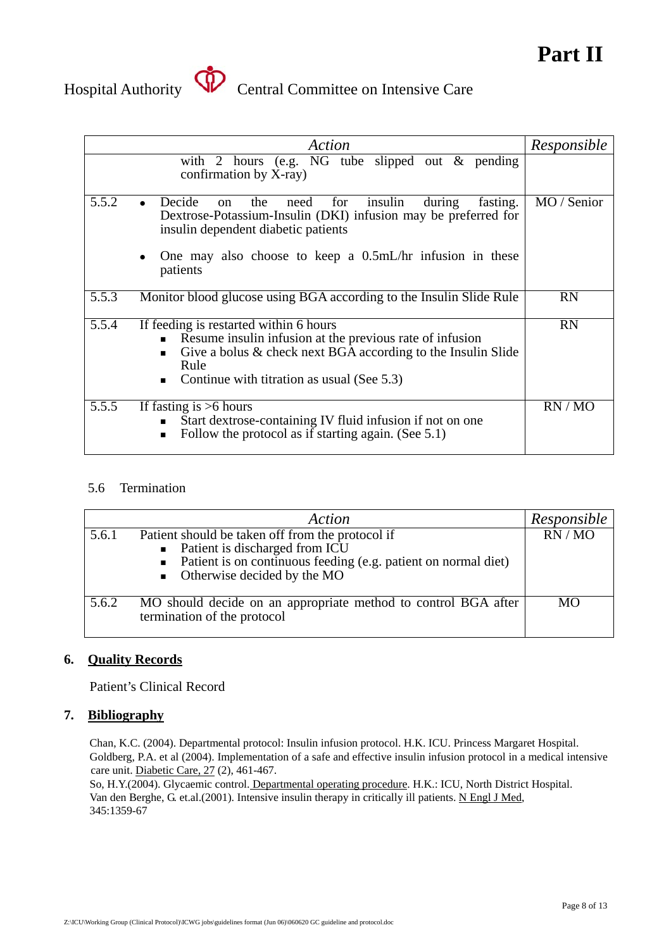



# Hospital Authority **Central Committee on Intensive Care**

|       | Action                                                                                                                                                                                                                                                                           | Responsible |
|-------|----------------------------------------------------------------------------------------------------------------------------------------------------------------------------------------------------------------------------------------------------------------------------------|-------------|
|       | with 2 hours (e.g. $\overline{NG}$ tube slipped out & pending<br>confirmation by X-ray)                                                                                                                                                                                          |             |
| 5.5.2 | insulin<br>Decide<br>fasting.<br>the<br>for<br>during<br>need<br>on<br>$\bullet$<br>Dextrose-Potassium-Insulin (DKI) infusion may be preferred for<br>insulin dependent diabetic patients<br>One may also choose to keep a $0.5mL/hr$ infusion in these<br>$\bullet$<br>patients | MO / Senior |
| 5.5.3 | Monitor blood glucose using BGA according to the Insulin Slide Rule                                                                                                                                                                                                              | <b>RN</b>   |
| 5.5.4 | If feeding is restarted within 6 hours<br>Resume insulin infusion at the previous rate of infusion<br>$\blacksquare$<br>Give a bolus & check next BGA according to the Insulin Slide<br>$\blacksquare$<br>Rule<br>Continue with titration as usual (See 5.3)<br>$\blacksquare$   | <b>RN</b>   |
| 5.5.5 | If fasting is $>6$ hours<br>Start dextrose-containing IV fluid infusion if not on one<br>$\blacksquare$<br>Follow the protocol as if starting again. (See 5.1)<br>$\blacksquare$                                                                                                 | RN/MO       |

#### 5.6 Termination

|       | Action                                                                                                                                                                                                 | Responsible |
|-------|--------------------------------------------------------------------------------------------------------------------------------------------------------------------------------------------------------|-------------|
| 5.6.1 | Patient should be taken off from the protocol if<br>• Patient is discharged from ICU<br>• Patient is on continuous feeding (e.g. patient on normal diet)<br>$\blacksquare$ Otherwise decided by the MO | RN/MO       |
| 5.6.2 | MO should decide on an appropriate method to control BGA after<br>termination of the protocol                                                                                                          | <b>MO</b>   |

#### **6. Quality Records**

Patient's Clinical Record

#### **7. Bibliography**

Chan, K.C. (2004). Departmental protocol: Insulin infusion protocol. H.K. ICU. Princess Margaret Hospital. Goldberg, P.A. et al (2004). Implementation of a safe and effective insulin infusion protocol in a medical intensive care unit. Diabetic Care, 27 (2), 461-467.

So, H.Y.(2004). Glycaemic control. Departmental operating procedure. H.K.: ICU, North District Hospital. Van den Berghe, G. et.al.(2001). Intensive insulin therapy in critically ill patients. N Engl J Med, 345:1359-67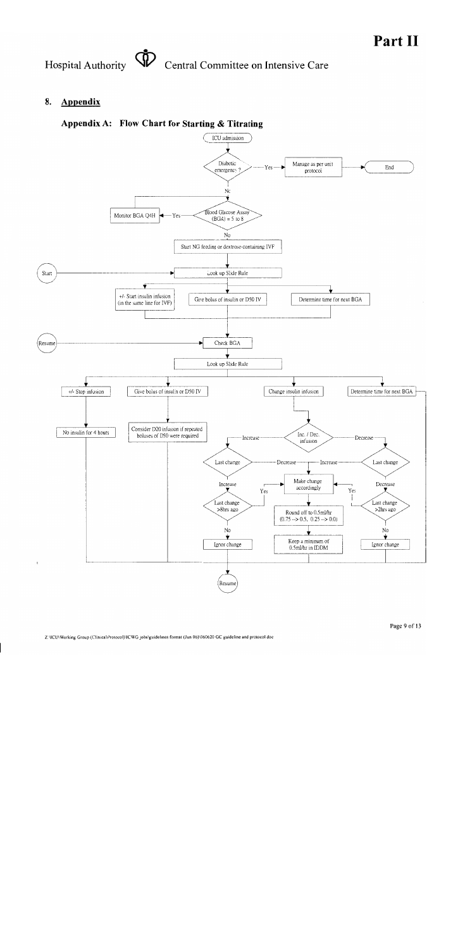Hospital Authority **SD** Central Committee on Intensive Care

#### **Appendix** 8.

#### Appendix A: Flow Chart for Starting & Titrating

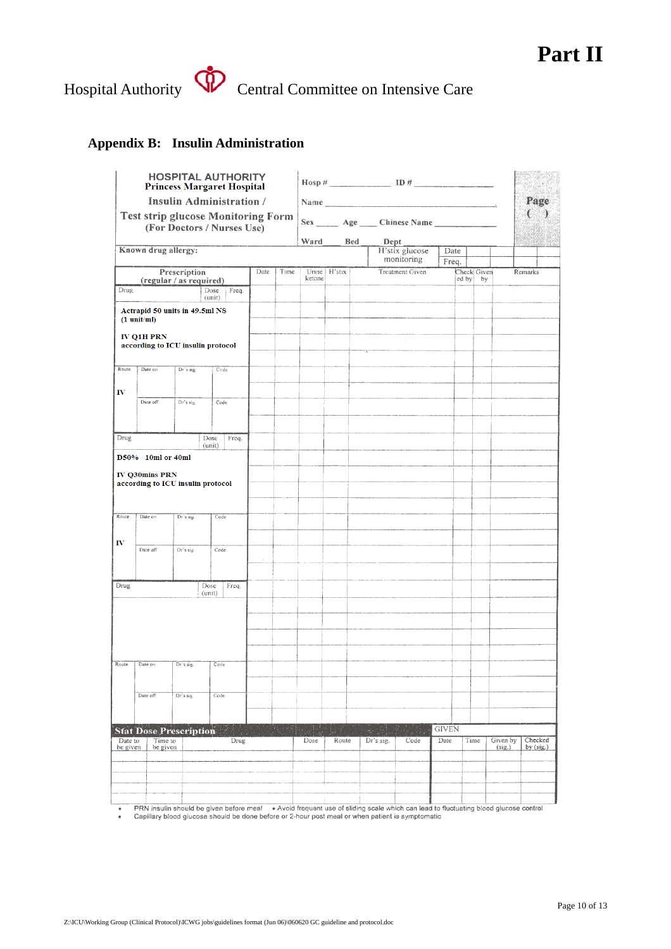### **Part II**

# Hospital Authority **Central Committee on Intensive Care**

#### **Appendix B: Insulin Administration**

|                                                            | <b>HOSPITAL AUTHORITY</b><br><b>Princess Margaret Hospital</b>          |                                   | $\text{Hosp } \#$ 1D $\#$                    |      |                              |        |                                                                                                                                                                                                                                |      |                                                             |                        |              |             |                    |                        |  |
|------------------------------------------------------------|-------------------------------------------------------------------------|-----------------------------------|----------------------------------------------|------|------------------------------|--------|--------------------------------------------------------------------------------------------------------------------------------------------------------------------------------------------------------------------------------|------|-------------------------------------------------------------|------------------------|--------------|-------------|--------------------|------------------------|--|
| Insulin Administration /                                   |                                                                         |                                   |                                              |      |                              |        | Name has a series of the series of the series of the series of the series of the series of the series of the series of the series of the series of the series of the series of the series of the series of the series of the s |      |                                                             |                        |              |             |                    | Page                   |  |
|                                                            | <b>Test strip glucose Monitoring Form</b><br>(For Doctors / Nurses Use) |                                   | Sex _____ Age ____ Chinese Name ____________ |      |                              |        |                                                                                                                                                                                                                                |      |                                                             |                        |              |             |                    |                        |  |
|                                                            |                                                                         | Ward                              |                                              | Bed  |                              | Dept   |                                                                                                                                                                                                                                |      |                                                             |                        |              |             |                    |                        |  |
|                                                            | Known drug allergy:                                                     |                                   |                                              |      | H'stix glucose<br>monitoring |        |                                                                                                                                                                                                                                | Date |                                                             |                        |              |             |                    |                        |  |
|                                                            |                                                                         | Prescription                      |                                              | Date | Time                         |        | Urine   H'stix                                                                                                                                                                                                                 |      |                                                             | <b>Treatment Given</b> | Freq.        | Check Given |                    | Remarks                |  |
|                                                            |                                                                         | (regular / as required)           |                                              |      |                              | ketone |                                                                                                                                                                                                                                |      |                                                             |                        |              | ed by<br>by |                    |                        |  |
| Drug                                                       |                                                                         |                                   | Freq.<br>Dose<br>(unit)                      |      |                              |        |                                                                                                                                                                                                                                |      |                                                             |                        |              |             |                    |                        |  |
|                                                            | $(1 \text{ unit/ml})$                                                   | Actrapid 50 units in 49.5ml NS    |                                              |      |                              |        |                                                                                                                                                                                                                                |      |                                                             |                        |              |             |                    |                        |  |
|                                                            | <b>IV Q1H PRN</b>                                                       | according to ICU insulin protocol |                                              |      |                              |        |                                                                                                                                                                                                                                |      |                                                             |                        |              |             |                    |                        |  |
| Route                                                      | Date on                                                                 | Dr's sig.                         | Code                                         |      |                              |        |                                                                                                                                                                                                                                |      |                                                             |                        |              |             |                    |                        |  |
| IV                                                         |                                                                         |                                   |                                              |      |                              |        |                                                                                                                                                                                                                                |      |                                                             |                        |              |             |                    |                        |  |
|                                                            | Date off                                                                | Dr's sig.                         | Code                                         |      |                              |        |                                                                                                                                                                                                                                |      |                                                             |                        |              |             |                    |                        |  |
|                                                            |                                                                         |                                   |                                              |      |                              |        |                                                                                                                                                                                                                                |      |                                                             |                        |              |             |                    |                        |  |
| Drug                                                       |                                                                         |                                   | Dose<br>Freq.<br>(unit)                      |      |                              |        |                                                                                                                                                                                                                                |      |                                                             |                        |              |             |                    |                        |  |
|                                                            | D50% 10ml or 40ml                                                       |                                   |                                              |      |                              |        |                                                                                                                                                                                                                                |      |                                                             |                        |              |             |                    |                        |  |
| <b>IV Q30mins PRN</b><br>according to ICU insulin protocol |                                                                         |                                   |                                              |      |                              |        |                                                                                                                                                                                                                                |      |                                                             |                        |              |             |                    |                        |  |
| Route                                                      | Date on                                                                 | Dr's sig.                         | Code                                         |      |                              |        |                                                                                                                                                                                                                                |      |                                                             |                        |              |             |                    |                        |  |
| $I\!V$                                                     | Date off                                                                | Dr's sig.                         | Code                                         |      |                              |        |                                                                                                                                                                                                                                |      |                                                             |                        |              |             |                    |                        |  |
|                                                            |                                                                         |                                   |                                              |      |                              |        |                                                                                                                                                                                                                                |      |                                                             |                        |              |             |                    |                        |  |
| Drug                                                       |                                                                         |                                   | Freq.<br>Dose<br>(unit)                      |      |                              |        |                                                                                                                                                                                                                                |      |                                                             |                        |              |             |                    |                        |  |
|                                                            |                                                                         |                                   |                                              |      |                              |        |                                                                                                                                                                                                                                |      |                                                             |                        |              |             |                    |                        |  |
|                                                            |                                                                         |                                   |                                              |      |                              |        |                                                                                                                                                                                                                                |      |                                                             |                        |              |             |                    |                        |  |
|                                                            |                                                                         |                                   |                                              |      |                              |        |                                                                                                                                                                                                                                |      |                                                             |                        |              |             |                    |                        |  |
| Route                                                      | Date on                                                                 | Dr's sig.                         | Code                                         |      |                              |        |                                                                                                                                                                                                                                |      |                                                             |                        |              |             |                    |                        |  |
|                                                            |                                                                         |                                   |                                              |      |                              |        |                                                                                                                                                                                                                                |      |                                                             |                        |              |             |                    |                        |  |
|                                                            | Date off                                                                | Dr's sig.                         | Code                                         |      |                              |        |                                                                                                                                                                                                                                |      |                                                             |                        |              |             |                    |                        |  |
|                                                            |                                                                         |                                   |                                              |      |                              |        |                                                                                                                                                                                                                                |      |                                                             |                        |              |             |                    |                        |  |
|                                                            |                                                                         | <b>Stat Dose Prescription</b>     |                                              |      |                              |        |                                                                                                                                                                                                                                |      | $\mathcal{C}_{\mathcal{M}}$ , $\mathcal{C}_{\mathcal{M}}$ , | $X_{1,1}$ , 13         | <b>GIVEN</b> |             |                    |                        |  |
| Date to<br>be given                                        |                                                                         | Time to<br>be given               |                                              | Drug |                              |        | Route                                                                                                                                                                                                                          |      | Dr's sig.                                                   | Code                   | Date         | Time        | Given by<br>(sig.) | Checked<br>by $(sig.)$ |  |
|                                                            |                                                                         |                                   |                                              |      |                              |        |                                                                                                                                                                                                                                |      |                                                             |                        |              |             |                    |                        |  |
|                                                            |                                                                         |                                   |                                              |      |                              |        |                                                                                                                                                                                                                                |      |                                                             |                        |              |             |                    |                        |  |
|                                                            |                                                                         |                                   |                                              |      |                              |        |                                                                                                                                                                                                                                |      |                                                             |                        |              |             |                    |                        |  |
|                                                            |                                                                         |                                   |                                              |      |                              |        |                                                                                                                                                                                                                                |      |                                                             |                        |              |             |                    |                        |  |

PRN insulin should be given before meal . Avoid frequent use of sliding scale which can lead to fluctuating blood glucose control<br>Capillary blood glucose should be done before or 2-hour post meal or when patient is symptom  $\ddot{\phantom{0}}$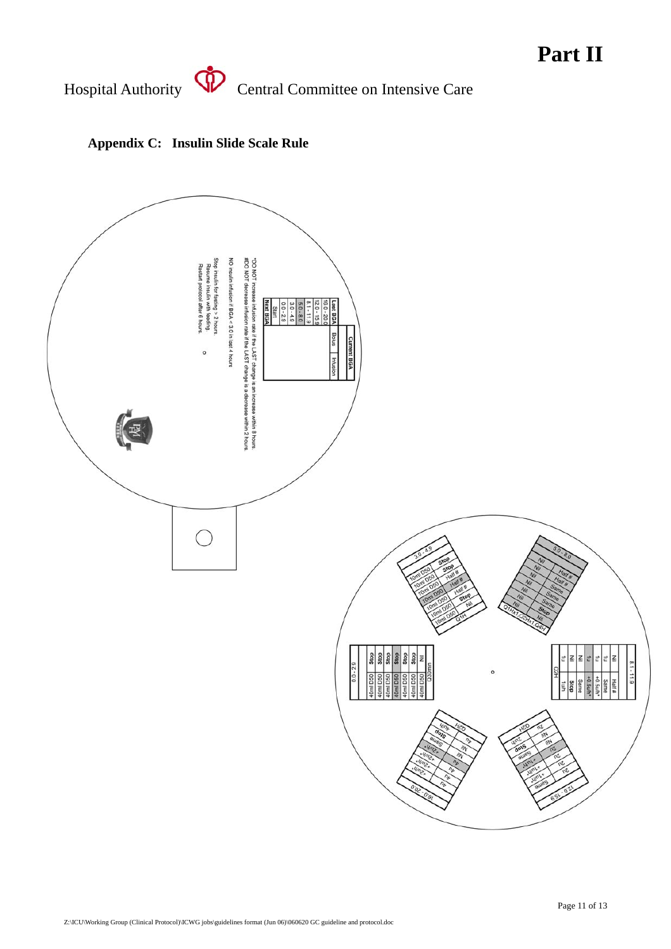### **Part II**

Hospital Authority **Central Committee on Intensive Care** 



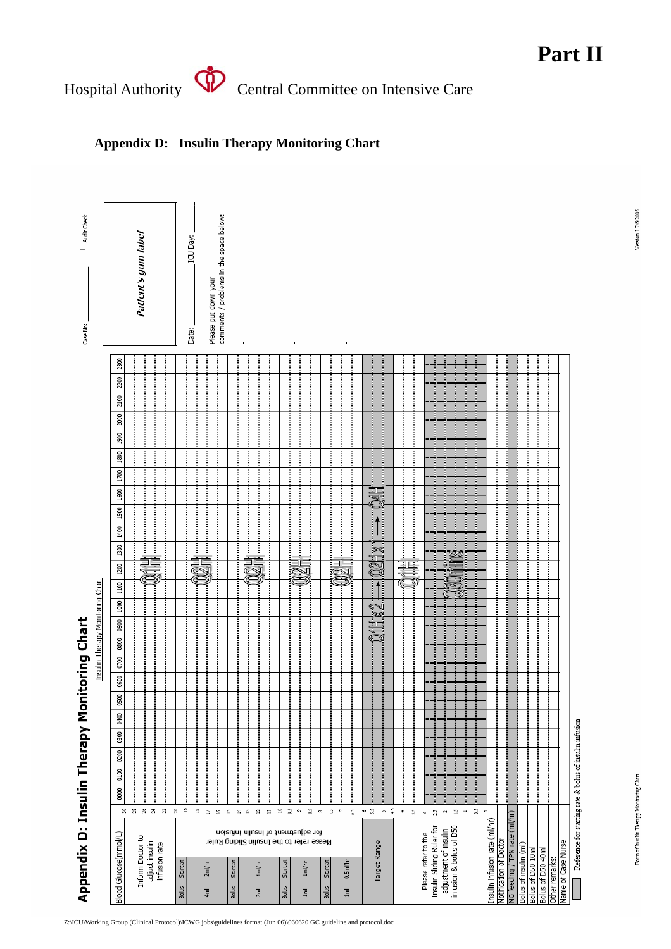Hospital Authority **SP** Central Committee on Intensive Care